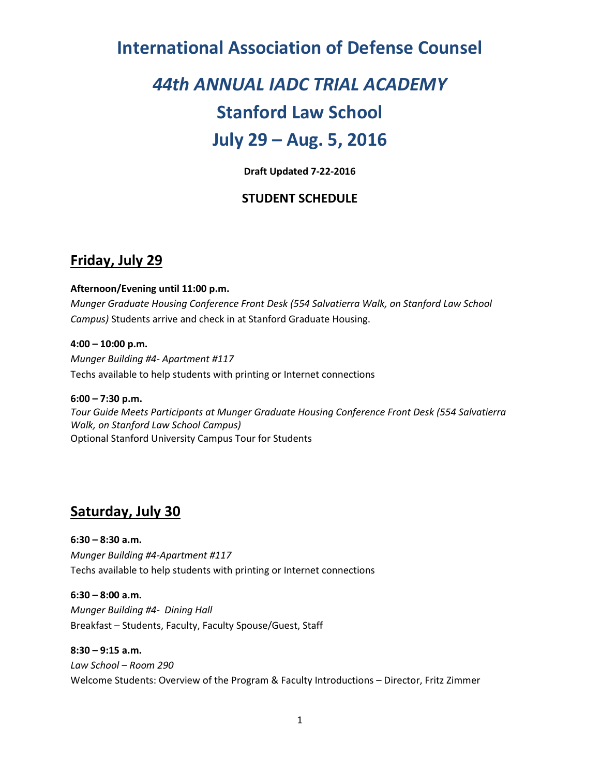## **International Association of Defense Counsel**

# *44th ANNUAL IADC TRIAL ACADEMY*

## **Stanford Law School**

## **July 29 – Aug. 5, 2016**

**Draft Updated 7-22-2016**

### **STUDENT SCHEDULE**

## **Friday, July 29**

#### **Afternoon/Evening until 11:00 p.m.**

*Munger Graduate Housing Conference Front Desk (554 Salvatierra Walk, on Stanford Law School Campus)* Students arrive and check in at Stanford Graduate Housing.

**4:00 – 10:00 p.m.** *Munger Building #4- Apartment #117* Techs available to help students with printing or Internet connections

**6:00 – 7:30 p.m.** *Tour Guide Meets Participants at Munger Graduate Housing Conference Front Desk (554 Salvatierra Walk, on Stanford Law School Campus)* Optional Stanford University Campus Tour for Students

## **Saturday, July 30**

**6:30 – 8:30 a.m.** *Munger Building #4-Apartment #117* Techs available to help students with printing or Internet connections

**6:30 – 8:00 a.m.** *Munger Building #4- Dining Hall* Breakfast – Students, Faculty, Faculty Spouse/Guest, Staff

**8:30 – 9:15 a.m.** *Law School – Room 290* Welcome Students: Overview of the Program & Faculty Introductions – Director, Fritz Zimmer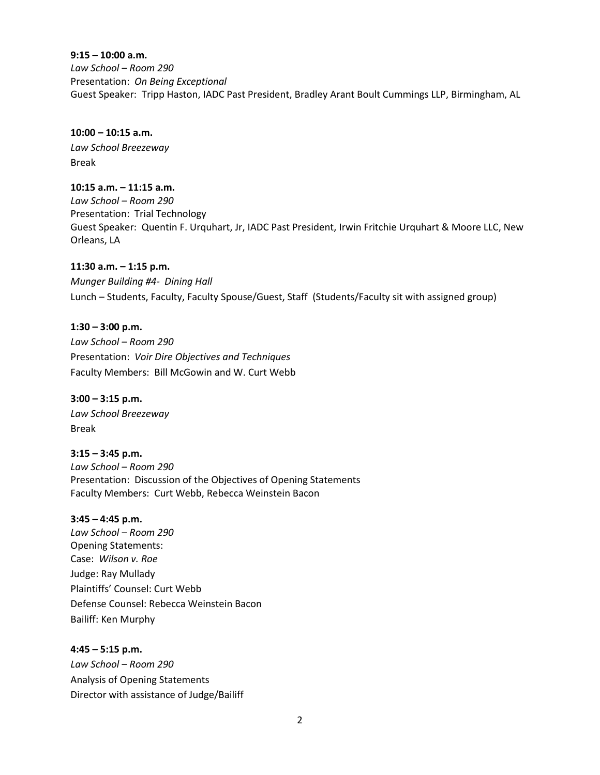#### **9:15 – 10:00 a.m.**

*Law School – Room 290* Presentation: *On Being Exceptional* Guest Speaker: Tripp Haston, IADC Past President, Bradley Arant Boult Cummings LLP, Birmingham, AL

#### **10:00 – 10:15 a.m.**

*Law School Breezeway* Break

#### **10:15 a.m. – 11:15 a.m.**

*Law School – Room 290* Presentation: Trial Technology Guest Speaker: Quentin F. Urquhart, Jr, IADC Past President, Irwin Fritchie Urquhart & Moore LLC, New Orleans, LA

#### **11:30 a.m. – 1:15 p.m.**

*Munger Building #4- Dining Hall* Lunch – Students, Faculty, Faculty Spouse/Guest, Staff (Students/Faculty sit with assigned group)

#### **1:30 – 3:00 p.m.**

*Law School – Room 290* Presentation: *Voir Dire Objectives and Techniques* Faculty Members: Bill McGowin and W. Curt Webb

**3:00 – 3:15 p.m.** *Law School Breezeway* Break

**3:15 – 3:45 p.m.** *Law School – Room 290* Presentation: Discussion of the Objectives of Opening Statements Faculty Members: Curt Webb, Rebecca Weinstein Bacon

#### **3:45 – 4:45 p.m.**

*Law School – Room 290* Opening Statements: Case: *Wilson v. Roe* Judge: Ray Mullady Plaintiffs' Counsel: Curt Webb Defense Counsel: Rebecca Weinstein Bacon Bailiff: Ken Murphy

**4:45 – 5:15 p.m.** *Law School – Room 290* Analysis of Opening Statements Director with assistance of Judge/Bailiff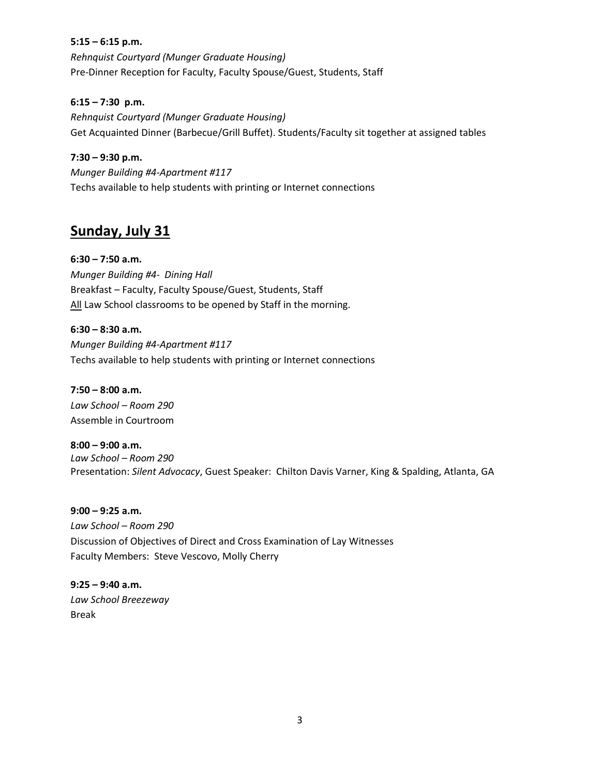#### **5:15 – 6:15 p.m.**

*Rehnquist Courtyard (Munger Graduate Housing)* Pre-Dinner Reception for Faculty, Faculty Spouse/Guest, Students, Staff

#### **6:15 – 7:30 p.m.**

*Rehnquist Courtyard (Munger Graduate Housing)* Get Acquainted Dinner (Barbecue/Grill Buffet). Students/Faculty sit together at assigned tables

#### **7:30 – 9:30 p.m.**

*Munger Building #4-Apartment #117* Techs available to help students with printing or Internet connections

## **Sunday, July 31**

#### **6:30 – 7:50 a.m.**

*Munger Building #4- Dining Hall* Breakfast – Faculty, Faculty Spouse/Guest, Students, Staff All Law School classrooms to be opened by Staff in the morning.

**6:30 – 8:30 a.m.** *Munger Building #4-Apartment #117* Techs available to help students with printing or Internet connections

**7:50 – 8:00 a.m.** *Law School – Room 290* Assemble in Courtroom

**8:00 – 9:00 a.m.** *Law School – Room 290* Presentation: *Silent Advocacy*, Guest Speaker: Chilton Davis Varner, King & Spalding, Atlanta, GA

**9:00 – 9:25 a.m.** *Law School – Room 290* Discussion of Objectives of Direct and Cross Examination of Lay Witnesses Faculty Members: Steve Vescovo, Molly Cherry

**9:25 – 9:40 a.m.** *Law School Breezeway* Break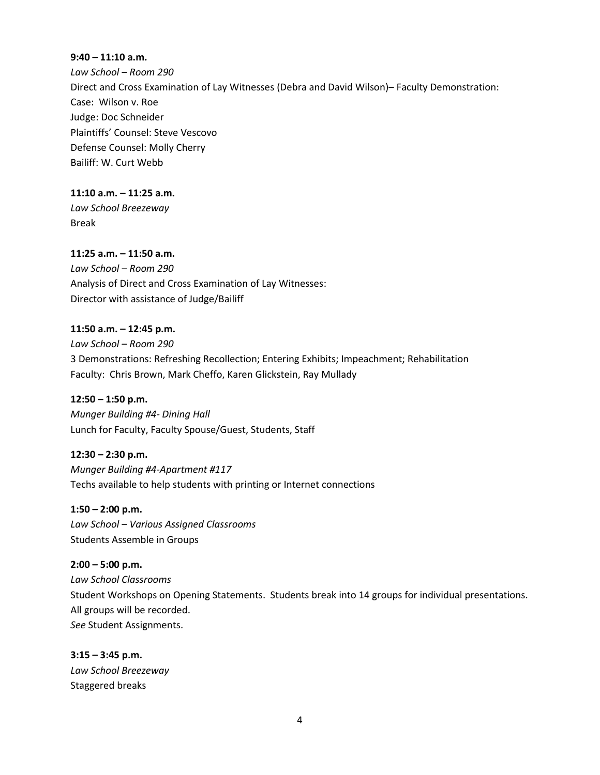#### **9:40 – 11:10 a.m.**

*Law School – Room 290* Direct and Cross Examination of Lay Witnesses (Debra and David Wilson)– Faculty Demonstration: Case: Wilson v. Roe Judge: Doc Schneider Plaintiffs' Counsel: Steve Vescovo Defense Counsel: Molly Cherry Bailiff: W. Curt Webb

**11:10 a.m. – 11:25 a.m.**

*Law School Breezeway* Break

**11:25 a.m. – 11:50 a.m.**

*Law School – Room 290* Analysis of Direct and Cross Examination of Lay Witnesses: Director with assistance of Judge/Bailiff

#### **11:50 a.m. – 12:45 p.m.**

*Law School – Room 290* 3 Demonstrations: Refreshing Recollection; Entering Exhibits; Impeachment; Rehabilitation Faculty: Chris Brown, Mark Cheffo, Karen Glickstein, Ray Mullady

**12:50 – 1:50 p.m.** *Munger Building #4- Dining Hall* Lunch for Faculty, Faculty Spouse/Guest, Students, Staff

**12:30 – 2:30 p.m.**

*Munger Building #4-Apartment #117* Techs available to help students with printing or Internet connections

**1:50 – 2:00 p.m.**

*Law School – Various Assigned Classrooms* Students Assemble in Groups

**2:00 – 5:00 p.m.**

*Law School Classrooms* Student Workshops on Opening Statements. Students break into 14 groups for individual presentations. All groups will be recorded. *See* Student Assignments.

**3:15 – 3:45 p.m.** *Law School Breezeway* Staggered breaks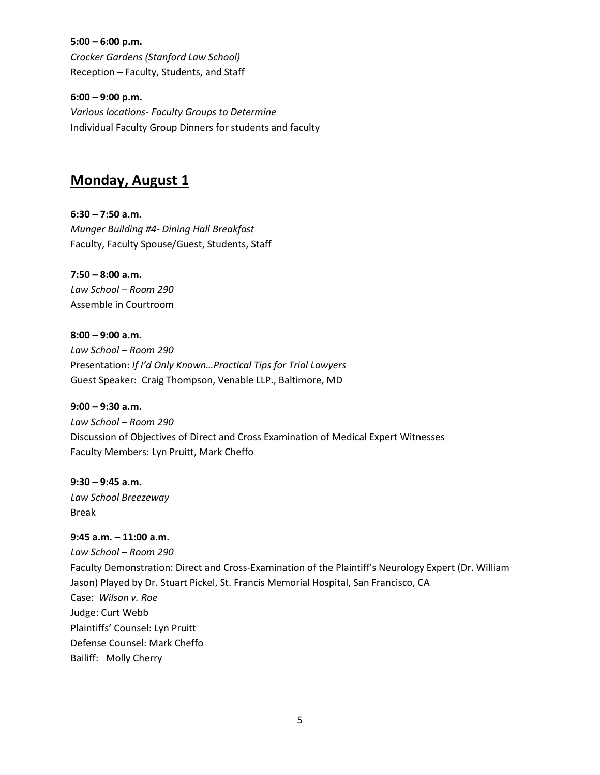**5:00 – 6:00 p.m.** *Crocker Gardens (Stanford Law School)* Reception – Faculty, Students, and Staff

**6:00 – 9:00 p.m.** *Various locations- Faculty Groups to Determine* Individual Faculty Group Dinners for students and faculty

### **Monday, August 1**

**6:30 – 7:50 a.m.** *Munger Building #4- Dining Hall Breakfast* Faculty, Faculty Spouse/Guest, Students, Staff

**7:50 – 8:00 a.m.** *Law School – Room 290* Assemble in Courtroom

**8:00 – 9:00 a.m.** *Law School – Room 290* Presentation: *If I'd Only Known…Practical Tips for Trial Lawyers* Guest Speaker: Craig Thompson, Venable LLP., Baltimore, MD

**9:00 – 9:30 a.m.** *Law School – Room 290* Discussion of Objectives of Direct and Cross Examination of Medical Expert Witnesses Faculty Members: Lyn Pruitt, Mark Cheffo

**9:30 – 9:45 a.m.** *Law School Breezeway* Break

#### **9:45 a.m. – 11:00 a.m.**

*Law School – Room 290* Faculty Demonstration: Direct and Cross-Examination of the Plaintiff's Neurology Expert (Dr. William Jason) Played by Dr. Stuart Pickel, St. Francis Memorial Hospital, San Francisco, CA Case: *Wilson v. Roe* Judge: Curt Webb Plaintiffs' Counsel: Lyn Pruitt Defense Counsel: Mark Cheffo Bailiff: Molly Cherry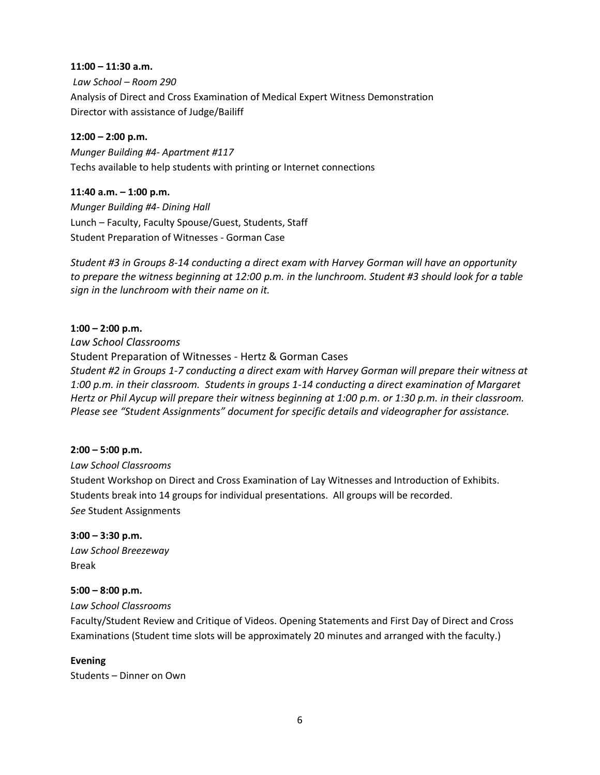#### **11:00 – 11:30 a.m.**

*Law School – Room 290* Analysis of Direct and Cross Examination of Medical Expert Witness Demonstration Director with assistance of Judge/Bailiff

#### **12:00 – 2:00 p.m.**

*Munger Building #4- Apartment #117* Techs available to help students with printing or Internet connections

#### **11:40 a.m. – 1:00 p.m.**

*Munger Building #4- Dining Hall* Lunch – Faculty, Faculty Spouse/Guest, Students, Staff Student Preparation of Witnesses - Gorman Case

*Student #3 in Groups 8‐14 conducting a direct exam with Harvey Gorman will have an opportunity to prepare the witness beginning at 12:00 p.m. in the lunchroom. Student #3 should look for a table sign in the lunchroom with their name on it.* 

#### **1:00 – 2:00 p.m.**

*Law School Classrooms* Student Preparation of Witnesses - Hertz & Gorman Cases *Student #2 in Groups 1‐7 conducting a direct exam with Harvey Gorman will prepare their witness at 1:00 p.m. in their classroom. Students in groups 1-14 conducting a direct examination of Margaret Hertz or Phil Aycup will prepare their witness beginning at 1:00 p.m. or 1:30 p.m. in their classroom. Please see "Student Assignments" document for specific details and videographer for assistance.* 

#### **2:00 – 5:00 p.m.**

*Law School Classrooms* Student Workshop on Direct and Cross Examination of Lay Witnesses and Introduction of Exhibits. Students break into 14 groups for individual presentations. All groups will be recorded. *See* Student Assignments

**3:00 – 3:30 p.m.** *Law School Breezeway* Break

#### **5:00 – 8:00 p.m.**

*Law School Classrooms*

Faculty/Student Review and Critique of Videos. Opening Statements and First Day of Direct and Cross Examinations (Student time slots will be approximately 20 minutes and arranged with the faculty.)

#### **Evening**

Students – Dinner on Own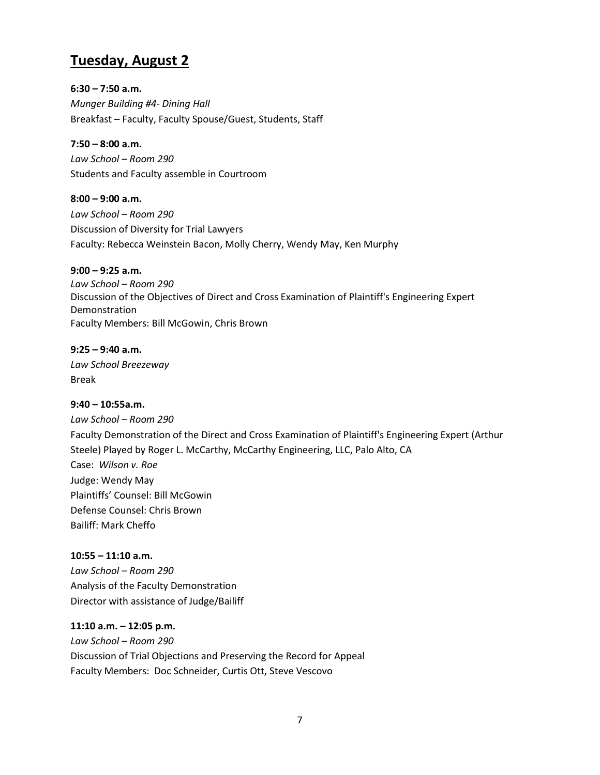## **Tuesday, August 2**

**6:30 – 7:50 a.m.** *Munger Building #4- Dining Hall* Breakfast – Faculty, Faculty Spouse/Guest, Students, Staff

**7:50 – 8:00 a.m.**  *Law School – Room 290* Students and Faculty assemble in Courtroom

**8:00 – 9:00 a.m.** *Law School – Room 290* Discussion of Diversity for Trial Lawyers Faculty: Rebecca Weinstein Bacon, Molly Cherry, Wendy May, Ken Murphy

**9:00 – 9:25 a.m.** *Law School – Room 290* Discussion of the Objectives of Direct and Cross Examination of Plaintiff's Engineering Expert Demonstration Faculty Members: Bill McGowin, Chris Brown

**9:25 – 9:40 a.m.** *Law School Breezeway* Break

## **9:40 – 10:55a.m.**  *Law School – Room 290* Faculty Demonstration of the Direct and Cross Examination of Plaintiff's Engineering Expert (Arthur Steele) Played by Roger L. McCarthy, McCarthy Engineering, LLC, Palo Alto, CA Case: *Wilson v. Roe* Judge: Wendy May Plaintiffs' Counsel: Bill McGowin Defense Counsel: Chris Brown Bailiff: Mark Cheffo

**10:55 – 11:10 a.m.** *Law School – Room 290* Analysis of the Faculty Demonstration Director with assistance of Judge/Bailiff

**11:10 a.m. – 12:05 p.m.** *Law School – Room 290* Discussion of Trial Objections and Preserving the Record for Appeal Faculty Members: Doc Schneider, Curtis Ott, Steve Vescovo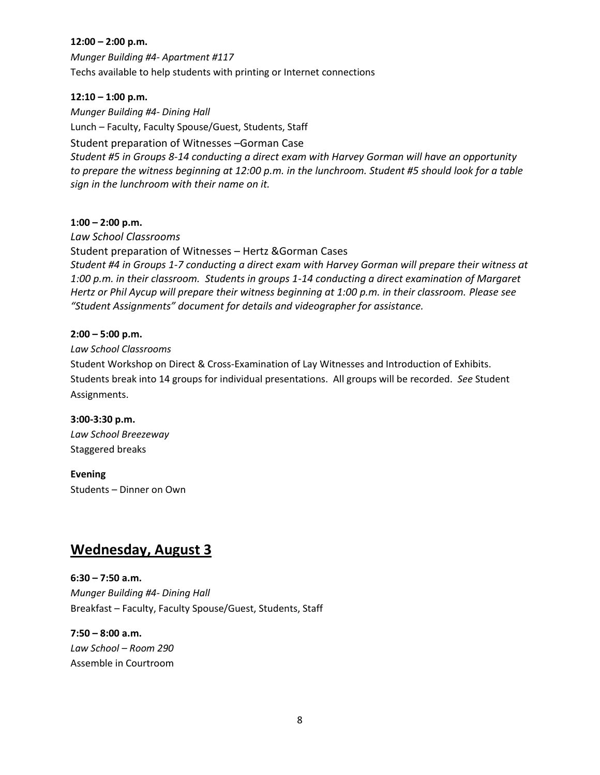#### **12:00 – 2:00 p.m.**

*Munger Building #4- Apartment #117* Techs available to help students with printing or Internet connections

#### **12:10 – 1:00 p.m.**

*Munger Building #4- Dining Hall* Lunch – Faculty, Faculty Spouse/Guest, Students, Staff Student preparation of Witnesses –Gorman Case *Student #5 in Groups 8‐14 conducting a direct exam with Harvey Gorman will have an opportunity to prepare the witness beginning at 12:00 p.m. in the lunchroom. Student #5 should look for a table sign in the lunchroom with their name on it.* 

#### **1:00 – 2:00 p.m.**

*Law School Classrooms* Student preparation of Witnesses – Hertz &Gorman Cases *Student #4 in Groups 1‐7 conducting a direct exam with Harvey Gorman will prepare their witness at 1:00 p.m. in their classroom. Students in groups 1-14 conducting a direct examination of Margaret Hertz or Phil Aycup will prepare their witness beginning at 1:00 p.m. in their classroom. Please see "Student Assignments" document for details and videographer for assistance.* 

#### **2:00 – 5:00 p.m.**

*Law School Classrooms*

Student Workshop on Direct & Cross-Examination of Lay Witnesses and Introduction of Exhibits. Students break into 14 groups for individual presentations. All groups will be recorded. *See* Student Assignments.

#### **3:00-3:30 p.m.**

*Law School Breezeway* Staggered breaks

#### **Evening**

Students – Dinner on Own

## **Wednesday, August 3**

**6:30 – 7:50 a.m.** *Munger Building #4- Dining Hall* Breakfast – Faculty, Faculty Spouse/Guest, Students, Staff

**7:50 – 8:00 a.m.** *Law School – Room 290* Assemble in Courtroom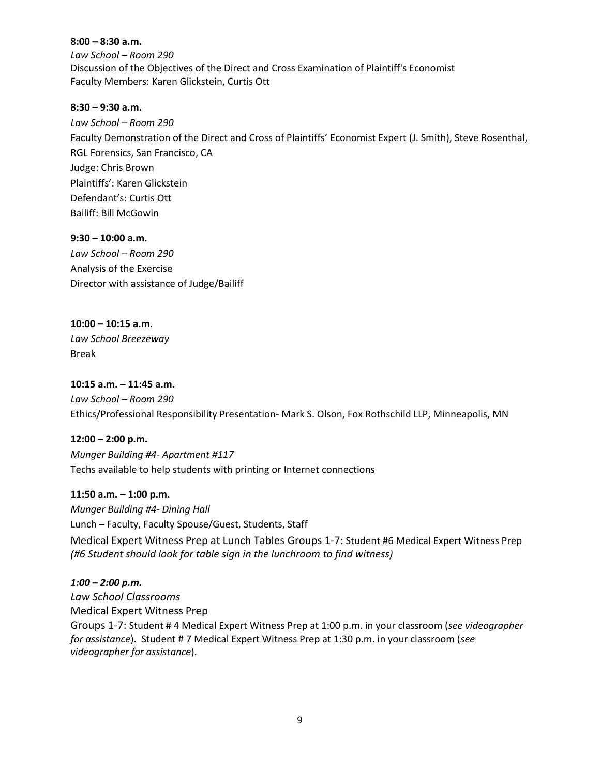**8:00 – 8:30 a.m.** *Law School – Room 290* Discussion of the Objectives of the Direct and Cross Examination of Plaintiff's Economist Faculty Members: Karen Glickstein, Curtis Ott

#### **8:30 – 9:30 a.m.**

*Law School – Room 290* Faculty Demonstration of the Direct and Cross of Plaintiffs' Economist Expert (J. Smith), Steve Rosenthal, RGL Forensics, San Francisco, CA Judge: Chris Brown Plaintiffs': Karen Glickstein Defendant's: Curtis Ott Bailiff: Bill McGowin

**9:30 – 10:00 a.m.** *Law School – Room 290* Analysis of the Exercise Director with assistance of Judge/Bailiff

**10:00 – 10:15 a.m.** *Law School Breezeway* Break

**10:15 a.m. – 11:45 a.m.** *Law School – Room 290* Ethics/Professional Responsibility Presentation- Mark S. Olson, Fox Rothschild LLP, Minneapolis, MN

**12:00 – 2:00 p.m.** *Munger Building #4- Apartment #117* Techs available to help students with printing or Internet connections

**11:50 a.m. – 1:00 p.m.** *Munger Building #4- Dining Hall*

Lunch – Faculty, Faculty Spouse/Guest, Students, Staff

Medical Expert Witness Prep at Lunch Tables Groups 1‐7: Student #6 Medical Expert Witness Prep *(#6 Student should look for table sign in the lunchroom to find witness)* 

*1:00 – 2:00 p.m. Law School Classrooms* Medical Expert Witness Prep Groups 1‐7: Student # 4 Medical Expert Witness Prep at 1:00 p.m. in your classroom (*see videographer for assistance*). Student # 7 Medical Expert Witness Prep at 1:30 p.m. in your classroom (*see videographer for assistance*).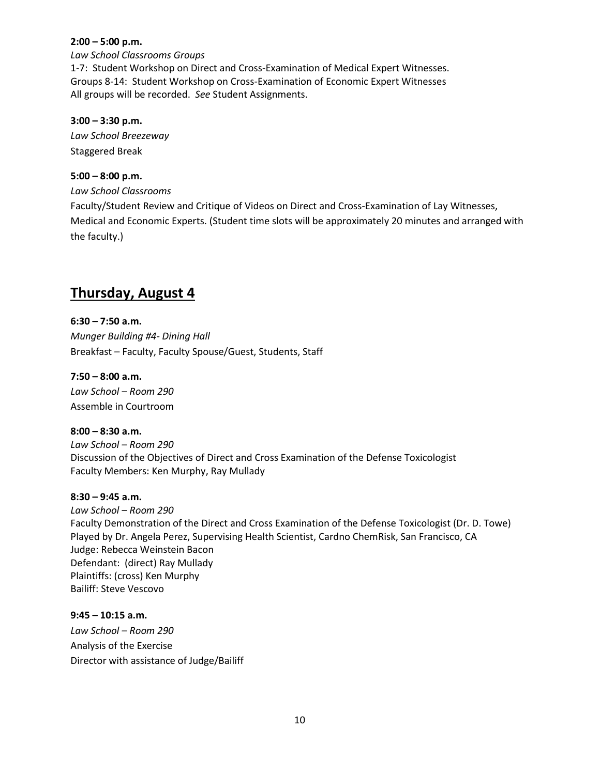#### **2:00 – 5:00 p.m.**

*Law School Classrooms Groups* 1-7: Student Workshop on Direct and Cross-Examination of Medical Expert Witnesses. Groups 8-14: Student Workshop on Cross-Examination of Economic Expert Witnesses All groups will be recorded. *See* Student Assignments.

#### **3:00 – 3:30 p.m.**

*Law School Breezeway* Staggered Break

#### **5:00 – 8:00 p.m.**

*Law School Classrooms* Faculty/Student Review and Critique of Videos on Direct and Cross-Examination of Lay Witnesses, Medical and Economic Experts. (Student time slots will be approximately 20 minutes and arranged with the faculty.)

## **Thursday, August 4**

**6:30 – 7:50 a.m.** *Munger Building #4- Dining Hall* Breakfast – Faculty, Faculty Spouse/Guest, Students, Staff

**7:50 – 8:00 a.m.** *Law School – Room 290* Assemble in Courtroom

**8:00 – 8:30 a.m.** *Law School – Room 290* Discussion of the Objectives of Direct and Cross Examination of the Defense Toxicologist Faculty Members: Ken Murphy, Ray Mullady

**8:30 – 9:45 a.m.**

*Law School – Room 290* Faculty Demonstration of the Direct and Cross Examination of the Defense Toxicologist (Dr. D. Towe) Played by Dr. Angela Perez, Supervising Health Scientist, Cardno ChemRisk, San Francisco, CA Judge: Rebecca Weinstein Bacon Defendant: (direct) Ray Mullady Plaintiffs: (cross) Ken Murphy Bailiff: Steve Vescovo

**9:45 – 10:15 a.m.** *Law School – Room 290* Analysis of the Exercise Director with assistance of Judge/Bailiff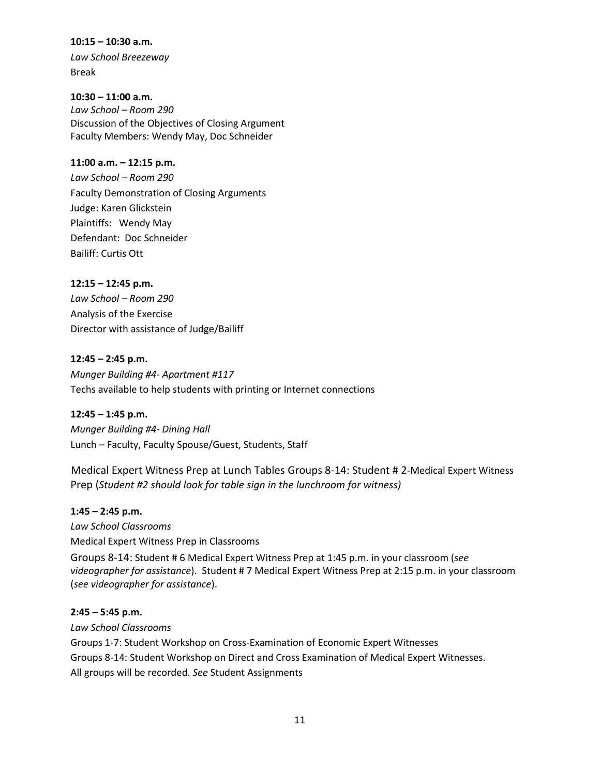**10:15 – 10:30 a.m.** *Law School Breezeway*

Break

**10:30 – 11:00 a.m.** *Law School – Room 290* Discussion of the Objectives of Closing Argument Faculty Members: Wendy May, Doc Schneider

#### **11:00 a.m. – 12:15 p.m.**

*Law School – Room 290* Faculty Demonstration of Closing Arguments Judge: Karen Glickstein Plaintiffs: Wendy May Defendant: Doc Schneider Bailiff: Curtis Ott

**12:15 – 12:45 p.m.**

*Law School – Room 290* Analysis of the Exercise Director with assistance of Judge/Bailiff

**12:45 – 2:45 p.m.**

*Munger Building #4- Apartment #117* Techs available to help students with printing or Internet connections

**12:45 – 1:45 p.m.** *Munger Building #4- Dining Hall*

Lunch – Faculty, Faculty Spouse/Guest, Students, Staff

Medical Expert Witness Prep at Lunch Tables Groups 8‐14: Student # 2‐Medical Expert Witness Prep (*Student #2 should look for table sign in the lunchroom for witness)* 

**1:45 – 2:45 p.m.**

*Law School Classrooms* Medical Expert Witness Prep in Classrooms

Groups 8‐14: Student # 6 Medical Expert Witness Prep at 1:45 p.m. in your classroom (*see videographer for assistance*). Student # 7 Medical Expert Witness Prep at 2:15 p.m. in your classroom (*see videographer for assistance*).

#### **2:45 – 5:45 p.m.**

*Law School Classrooms* Groups 1-7: Student Workshop on Cross-Examination of Economic Expert Witnesses Groups 8-14: Student Workshop on Direct and Cross Examination of Medical Expert Witnesses. All groups will be recorded. *See* Student Assignments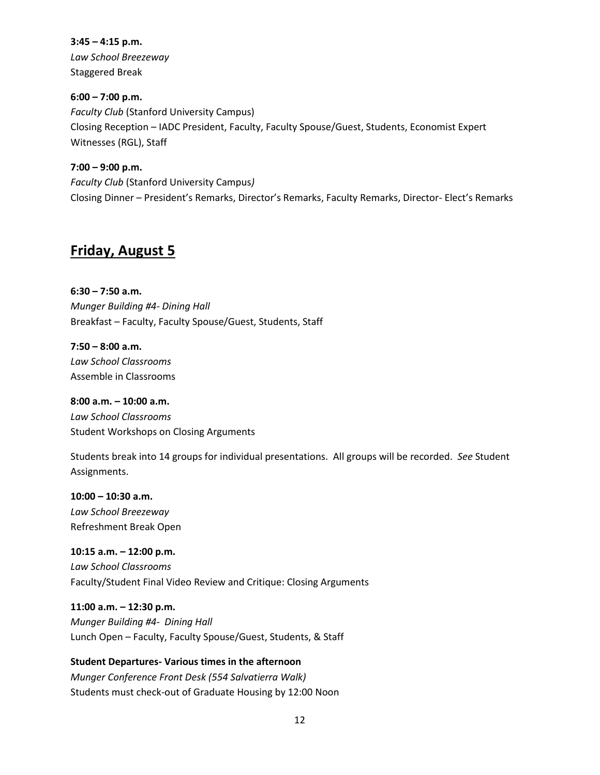**3:45 – 4:15 p.m.** *Law School Breezeway* Staggered Break

**6:00 – 7:00 p.m.** *Faculty Club* (Stanford University Campus) Closing Reception – IADC President, Faculty, Faculty Spouse/Guest, Students, Economist Expert Witnesses (RGL), Staff

**7:00 – 9:00 p.m.** *Faculty Club* (Stanford University Campus*)* Closing Dinner – President's Remarks, Director's Remarks, Faculty Remarks, Director- Elect's Remarks

## **Friday, August 5**

**6:30 – 7:50 a.m.** *Munger Building #4- Dining Hall* Breakfast – Faculty, Faculty Spouse/Guest, Students, Staff

**7:50 – 8:00 a.m.** *Law School Classrooms* Assemble in Classrooms

**8:00 a.m. – 10:00 a.m.** *Law School Classrooms* Student Workshops on Closing Arguments

Students break into 14 groups for individual presentations. All groups will be recorded. *See* Student Assignments.

**10:00 – 10:30 a.m.** *Law School Breezeway* Refreshment Break Open

**10:15 a.m. – 12:00 p.m.** *Law School Classrooms* Faculty/Student Final Video Review and Critique: Closing Arguments

**11:00 a.m. – 12:30 p.m.** *Munger Building #4- Dining Hall* Lunch Open – Faculty, Faculty Spouse/Guest, Students, & Staff

**Student Departures- Various times in the afternoon** *Munger Conference Front Desk (554 Salvatierra Walk)*  Students must check-out of Graduate Housing by 12:00 Noon